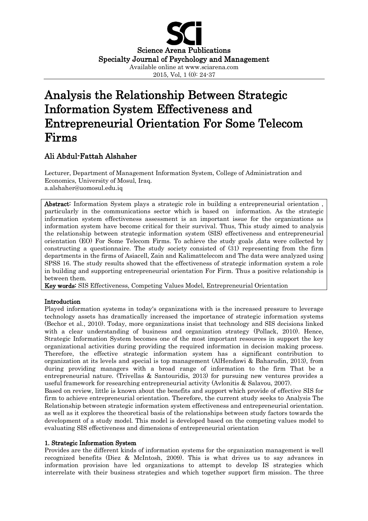

# Analysis the Relationship Between Strategic Information System Effectiveness and Entrepreneurial Orientation For Some Telecom Firms

## Ali Abdul-Fattah Alshaher

Lecturer, Department of Management Information System, College of Administration and Economics, University of Mosul, Iraq. a.alshaher@uomosul.edu.iq

Abstract: Information System plays a strategic role in building a entrepreneurial orientation , particularly in the communications sector which is based on information. As the strategic information system effectiveness assessment is an important issue for the organizations as information system have become critical for their survival. Thus, This study aimed to analysis the relationship between strategic information system (SIS) effectiveness and entrepreneurial orientation (EO) For Some Telecom Firms. To achieve the study goals ,data were collected by constructing a questionnaire. The study society consisted of (31) representing from the firm departments in the firms of Asiacell, Zain and Kalimattelecom and The data were analyzed using SPSS 16. The study results showed that the effectiveness of strategic information system a role in building and supporting entrepreneurial orientation For Firm. Thus a positive relationship is between them.

Key words: SIS Effectiveness, Competing Values Model, Entrepreneurial Orientation

## Introduction

Played information systems in today's organizations with is the increased pressure to leverage technology assets has dramatically increased the importance of strategic information systems (Bechor et al., 2010). Today, more organizations insist that technology and SIS decisions linked with a clear understanding of business and organization strategy (Pollack, 2010). Hence, Strategic Information System becomes one of the most important resources in support the key organizational activities during providing the required information in decision making process. Therefore, the effective strategic information system has a significant contribution to organization at its levels and special is top management (AlHendawi & Baharudin, 2013), from during providing managers with a broad range of information to the firm That be a entrepreneurial nature. (Trivellas & Santouridis, 2013) for pursuing new ventures provides a useful framework for researching entrepreneurial activity (Avlonitis & Salavou, 2007).

Based on review, little is known about the benefits and support which provide of effective SIS for firm to achieve entrepreneurial orientation. Therefore, the current study seeks to Analysis The Relationship between strategic information system effectiveness and entrepreneurial orientation. as well as it explores the theoretical basis of the relationships between study factors towards the development of a study model. This model is developed based on the competing values model to evaluating SIS effectiveness and dimensions of entrepreneurial orientation

## 1. Strategic Information System

Provides are the different kinds of information systems for the organization management is well recognized benefits (Diez & McIntosh, 2009). This is what drives us to say advances in information provision have led organizations to attempt to develop IS strategies which interrelate with their business strategies and which together support firm mission. The three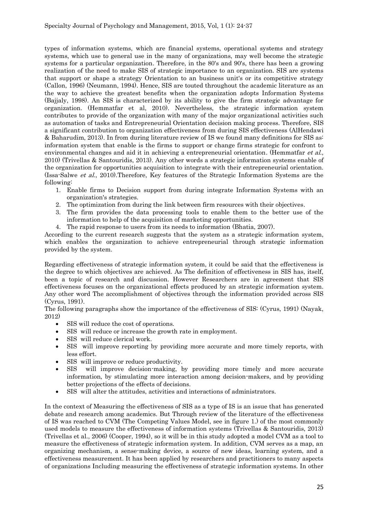types of information systems, which are financial systems, operational systems and strategy systems, which use to general use in the many of organizations, may well become the strategic systems for a particular organization. Therefore, in the 80's and 90's, there has been a growing realization of the need to make SIS of strategic importance to an organization. SIS are systems that support or shape a strategy Orientation to an business unit's or its competitive strategy (Callon, 1996) (Neumann, 1994). Hence, SIS are touted throughout the academic literature as an the way to achieve the greatest benefits when the organization adopts Information Systems (Bajjaly, 1998). An SIS is characterized by its ability to give the firm strategic advantage for organization. (Hemmatfar et al, 2010). Nevertheless, the strategic information system contributes to provide of the organization with many of the major organizational activities such as automation of tasks and Entrepreneurial Orientation decision making process. Therefore, SIS a significant contribution to organization effectiveness from during SIS effectiveness (AlHendawi & Baharudim, 2013). In from during literature review of IS we found many definitions for SIS as: information system that enable is the firms to support or change firms strategic for confront to environmental changes and aid it in achieving a entrepreneurial orientation. (Hemmatfar *et al.*, 2010) (Trivellas & Santouridis, 2013). Any other words a strategic information systems enable of the organization for opportunities acquisition to integrate with their entrepreneurial orientation. (Issa-Salwe et al., 2010).Therefore, Key features of the Strategic Information Systems are the following:

- 1. Enable firms to Decision support from during integrate Information Systems with an organization's strategies.
- 2. The optimization from during the link between firm resources with their objectives.
- 3. The firm provides the data processing tools to enable them to the better use of the information to help of the acquisition of marketing opportunities.
- 4. The rapid response to users from its needs to information (Bhatia, 2007).

According to the current research suggests that the system as a strategic information system, which enables the organization to achieve entrepreneurial through strategic information provided by the system.

Regarding effectiveness of strategic information system, it could be said that the effectiveness is the degree to which [objectives](http://www.businessdictionary.com/definition/objective.html) are achieved. As The definition of effectiveness in SIS has, itself, been a topic of research and discussion. However Researchers are in agreement that SIS effectiveness focuses on the organizational effects produced by an strategic information system. Any other word The accomplishment of objectives through the information provided across SIS (Cyrus, 1991).

The following paragraphs show the importance of the effectiveness of SIS: (Cyrus, 1991) (Nayak, 2012)

- SIS will reduce the cost of operations.
- SIS will reduce or increase the growth rate in employment.
- SIS will reduce clerical work.
- SIS will improve reporting by providing more accurate and more timely reports, with less effort.
- SIS will improve or reduce productivity.
- SIS will improve decision-making, by providing more timely and more accurate information, by stimulating more interaction among decision-makers, and by providing better projections of the effects of decisions.
- SIS will alter the attitudes, activities and interactions of administrators.

In the context of Measuring the effectiveness of SIS as a type of IS is an issue that has generated debate and research among academics. But Through review of the literature of the effectiveness of IS was reached to CVM (The Competing Values Model, see in figure 1.) of the most commonly used models to measure the effectiveness of information systems (Trivellas & Santouridis, 2013) (Trivellas et al., 2006) (Cooper, 1994), so it will be in this study adopted a model CVM as a tool to measure the effectiveness of strategic information system. In addition, CVM serves as a map, an organizing mechanism, a sense-making device, a source of new ideas, learning system, and a effectiveness measurement. It has been applied by researchers and practitioners to many aspects of organizations Including measuring the effectiveness of strategic information systems. In other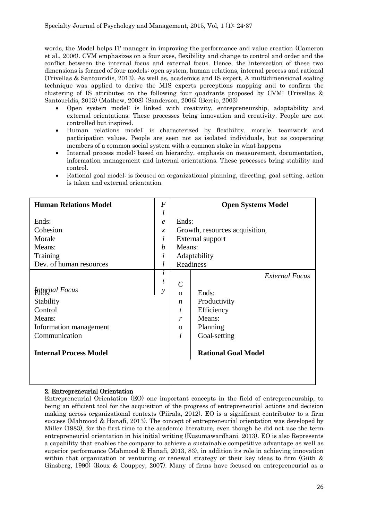words, the Model helps IT manager in improving the performance and value creation (Cameron et al., 2006). CVM emphasizes on a four axes, flexibility and change to control and order and the conflict between the internal focus and external focus. Hence, the intersection of these two dimensions is formed of four models: open system, human relations, internal process and rational (Trivellas & Santouridis, 2013). As well as, academics and IS expert, A multidimensional scaling technique was applied to derive the MIS experts perceptions mapping and to confirm the clustering of IS attributes on the following four quadrants proposed by CVM: (Trivellas & Santouridis, 2013) (Mathew, 2008) (Sanderson, 2006) (Berrio, 2003)

- Open system model: is linked with creativity, entrepreneurship, adaptability and external orientations. These processes bring innovation and creativity. People are not controlled but inspired.
- Human relations model: is characterized by flexibility, morale, teamwork and participation values. People are seen not as isolated individuals, but as cooperating members of a common social system with a common stake in what happens
- Internal process model: based on hierarchy, emphasis on measurement, documentation, information management and internal orientations. These processes bring stability and control.
- Rational goal model: is focused on organizational planning, directing, goal setting, action is taken and external orientation.

| <b>Human Relations Model</b>  | $\boldsymbol{F}$ | <b>Open Systems Model</b> |                                |  |  |  |
|-------------------------------|------------------|---------------------------|--------------------------------|--|--|--|
|                               | $\iota$          |                           |                                |  |  |  |
| Ends:                         | $\epsilon$       | Ends:                     |                                |  |  |  |
| Cohesion                      | $\chi$           |                           | Growth, resources acquisition, |  |  |  |
| Morale                        | $\dot{i}$        |                           | External support               |  |  |  |
| Means:                        | $\boldsymbol{b}$ | Means:                    |                                |  |  |  |
| Training                      | $\dot{i}$        |                           | Adaptability                   |  |  |  |
| Dev. of human resources       | l                | Readiness                 |                                |  |  |  |
|                               | $\dot{i}$        |                           | <b>External Focus</b>          |  |  |  |
|                               | t                | $\mathcal{C}$             |                                |  |  |  |
| <b>Hyternal Focus</b>         | $\mathcal{Y}$    | $\theta$                  | Ends:                          |  |  |  |
| Stability                     |                  | $\boldsymbol{n}$          | Productivity                   |  |  |  |
| Control                       |                  | t                         | Efficiency                     |  |  |  |
| Means:                        |                  | r                         | Means:                         |  |  |  |
| Information management        |                  | $\boldsymbol{\theta}$     | Planning                       |  |  |  |
| Communication                 |                  | l                         | Goal-setting                   |  |  |  |
| <b>Internal Process Model</b> |                  |                           | <b>Rational Goal Model</b>     |  |  |  |
|                               |                  |                           |                                |  |  |  |

## 2. Entrepreneurial Orientation

Entrepreneurial Orientation (EO) one important concepts in the field of entrepreneurship, to being an efficient tool for the acquisition of the progress of entrepreneurial actions and decision making across organizational contexts (Piirala, 2012). EO is a significant contributor to a firm success (Mahmood & Hanafi, 2013). The concept of entrepreneurial orientation was developed by Miller (1983), for the first time to the academic literature, even though he did not use the term entrepreneurial orientation in his initial writing (Kusumawardhani, 2013). EO is also Represents a capability that enables the company to achieve a sustainable competitive advantage as well as superior performance (Mahmood & Hanafi, 2013, 83), in addition its role in achieving innovation within that organization or venturing or renewal strategy or their key ideas to firm (Güth & Ginsberg, 1990) (Roux & Couppey, 2007). Many of firms have focused on entrepreneurial as a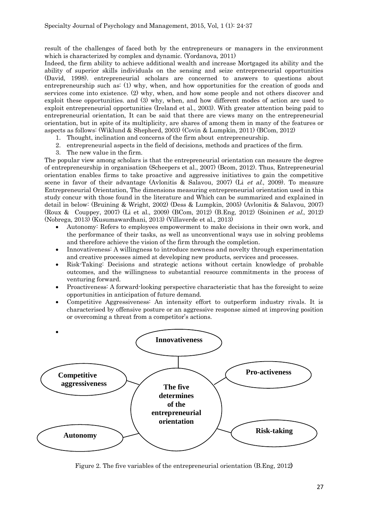result of the challenges of faced both by the entrepreneurs or managers in the environment which is characterized by complex and dynamic. (Yordanova, 2011)

Indeed, the firm ability to achieve additional wealth and increase Mortgaged its ability and the ability of superior skills individuals on the sensing and seize entrepreneurial opportunities (David, 1998). entrepreneurial scholars are concerned to answers to questions about entrepreneurship such as: (1) why, when, and how opportunities for the creation of goods and services come into existence. (2) why, when, and how some people and not others discover and exploit these opportunities. and (3) why, when, and how different modes of action are used to exploit entrepreneurial opportunities (Ireland et al., 2003). With greater attention being paid to entrepreneurial orientation, It can be said that there are views many on the entrepreneurial orientation, but in spite of its multiplicity, are shares of among them in many of the features or aspects as follows: (Wiklund & Shepherd, 2003) (Covin & Lumpkin, 2011) (BCom, 2012)

- 1. Thought, inclination and concerns of the firm about entrepreneurship.
- 2. entrepreneurial aspects in the field of decisions, methods and practices of the firm.
- 3. The new value in the firm.

The popular view among scholars is that the entrepreneurial orientation can measure the degree of entrepreneurship in organisation (Scheepers et al., 2007) (Bcom, 2012). Thus, Entrepreneurial orientation enables firms to take proactive and aggressive initiatives to gain the competitive scene in favor of their advantage (Avlonitis & Salavou, 2007) (Li et al., 2009). To measure Entrepreneurial Orientation, The dimensions measuring entrepreneurial orientation used in this study concur with those found in the literature and Which can be summarized and explained in detail in below: (Bruining & Wright, 2002) (Dess & Lumpkin, 2005) (Avlonitis & Salavou, 2007) (Roux & Couppey, 2007) (Li et al., 2009) (BCom, 2012) (B.Eng, 2012) (Soininen et al., 2012) (Nobrega, 2013) (Kusumawardhani, 2013) (Villaverde et al., 2013)

- Autonomy: Refers to employees empowerment to make decisions in their own work, and the performance of their tasks, as well as unconventional ways use in solving problems and therefore achieve the vision of the firm through the completion.
- Innovativeness: A willingness to introduce newness and novelty through experimentation and creative processes aimed at developing new products, services and processes.
- Risk-Taking: Decisions and strategic actions without certain knowledge of probable outcomes, and the willingness to substantial resource commitments in the process of venturing forward.
- Proactiveness: A forward-looking perspective characteristic that has the foresight to seize opportunities in anticipation of future demand.
- Competitive Aggressiveness: An intensity effort to outperform industry rivals. It is characterised by offensive posture or an aggressive response aimed at improving position or overcoming a threat from a competitor's actions.



Figure 2. The five variables of the entrepreneurial orientation (B.Eng, 2012)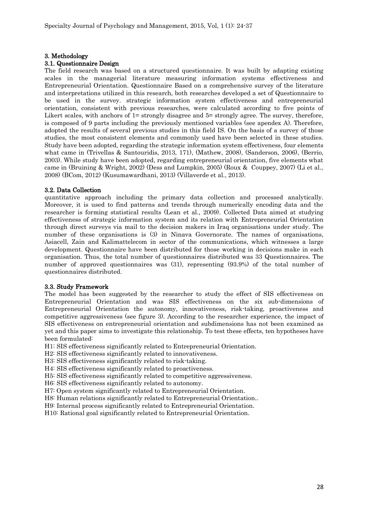#### 3. Methodology

#### 3.1. Questionnaire Design

The field research was based on a structured questionnaire. It was built by adapting existing scales in the managerial literature measuring information systems effectiveness and Entrepreneurial Orientation. Questionnaire Based on a comprehensive survey of the literature and interpretations utilized in this research, both researches developed a set of Questionnaire to be used in the survey. strategic information system effectiveness and entrepreneurial orientation, consistent with previous researches, were calculated according to five points of Likert scales, with anchors of 1= strongly disagree and 5= strongly agree. The survey, therefore, is composed of 9 parts including the previously mentioned variables (see apendex A). Therefore, adopted the results of several previous studies in this field IS. On the basis of a survey of those studies, the most consistent elements and commonly used have been selected in these studies. Study have been adopted, regarding the strategic information system effectiveness, four elements what came in (Trivellas & Santouridis, 2013, 171), (Mathew, 2008), (Sanderson, 2006), (Berrio, 2003). While study have been adopted, regarding entrepreneurial orientation, five elements what came in (Bruining & Wright, 2002) (Dess and Lumpkin, 2005) (Roux & Couppey, 2007) (Li et al., 2008) (BCom, 2012) (Kusumawardhani, 2013) (Villaverde et al., 2013).

#### 3.2. Data Collection

quantitative approach including the primary data collection and processed analytically. Moreover, it is used to find patterns and trends through numerically encoding data and the researcher is forming statistical results (Lean et al., 2009). Collected Data aimed at studying effectiveness of strategic information system and its relation with Entrepreneurial Orientation through direct surveys via mail to the decision makers in Iraq organisations under study. The number of these organisations is (3) in Ninava Governorate. The names of organisations, Asiacell, Zain and Kalimattelecom in sector of the communications, which witnesses a large development. Questionnaire have been distributed for those working in decisions make in each organisation. Thus, the total number of questionnaires distributed was 33 Questionnaires. The number of approved questionnaires was (31), representing (93.9%) of the total number of questionnaires distributed.

#### 3.3. Study Framework

The model has been suggested by the researcher to study the effect of SIS effectiveness on Entrepreneurial Orientation and was SIS effectiveness on the six sub-dimensions of Entrepreneurial Orientation the autonomy, innovativeness, risk-taking, proactiveness and competitive aggressiveness (see figure 3). According to the researcher experience, the impact of SIS effectiveness on entrepreneurial orientation and subdimensions has not been examined as yet and this paper aims to investigate this relationship. To test these effects, ten hypotheses have been formulated:

H1: SIS effectiveness significantly related to Entrepreneurial Orientation.

H2: SIS effectiveness significantly related to innovativeness.

H3: SIS effectiveness significantly related to risk-taking.

H4: SIS effectiveness significantly related to proactiveness.

H5: SIS effectiveness significantly related to competitive aggressiveness.

H6: SIS effectiveness significantly related to autonomy.

H7: Open system significantly related to Entrepreneurial Orientation.

H8: Human relations significantly related to Entrepreneurial Orientation..

H9: Internal process significantly related to Entrepreneurial Orientation.

H10: Rational goal significantly related to Entrepreneurial Orientation.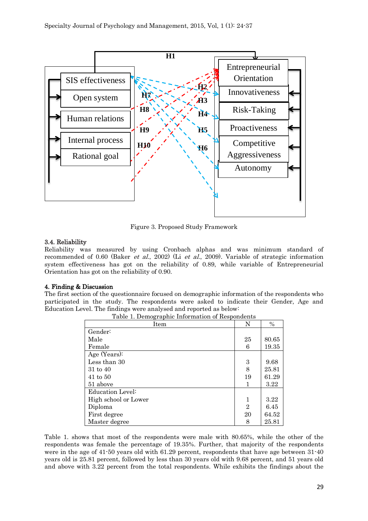

Figure 3. Proposed Study Framework

## 3.4. Reliability

Reliability was measured by using Cronbach alphas and was minimum standard of recommended of 0.60 (Baker et al., 2002) (Li et al., 2009). Variable of strategic information system effectiveness has got on the reliability of 0.89, while variable of Entrepreneurial Orientation has got on the reliability of 0.90.

## 4. Finding & Discussion

The first section of the questionnaire focused on demographic information of the respondents who participated in the study. The respondents were asked to indicate their Gender, Age and Education Level. The findings were analysed and reported as below: Table 1. Demographic Information of Respondents

| Item                 | N              | $\frac{0}{0}$ |
|----------------------|----------------|---------------|
| Gender:              |                |               |
| Male                 | 25             | 80.65         |
| Female               | 6              | 19.35         |
| Age (Years):         |                |               |
| Less than 30         | 3              | 9.68          |
| 31 to 40             | 8              | 25.81         |
| $41$ to $50$         | 19             | 61.29         |
| 51 above             |                | 3.22          |
| Education Level:     |                |               |
| High school or Lower | 1              | 3.22          |
| Diploma              | $\overline{2}$ | 6.45          |
| First degree         | 20             | 64.52         |
| Master degree        | 8              | 25.81         |

Table 1. shows that most of the respondents were male with 80.65%, while the other of the respondents was female the percentage of 19.35%. Further, that majority of the respondents were in the age of 41-50 years old with 61.29 percent, respondents that have age between 31-40 years old is 25.81 percent, followed by less than 30 years old with 9.68 percent, and 51 years old and above with 3.22 percent from the total respondents. While exhibits the findings about the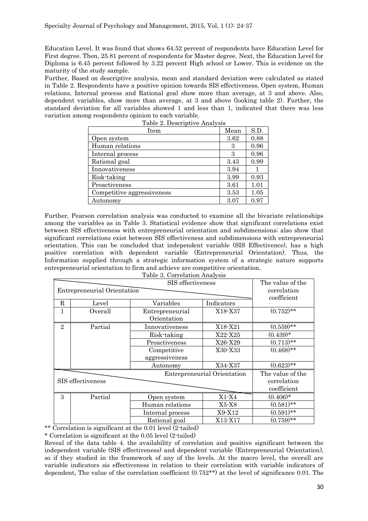Education Level. It was found that shows 64.52 percent of respondents have Education Level for First degree. Then, 25.81 percent of respondents for Master degree. Next, the Education Level for Diploma is 6.45 percent followed by 3.22 percent High school or Lower. This is evidence on the maturity of the study sample.

Further, Based on descriptive analysis, mean and standard deviation were calculated as stated in Table 2. Respondents have a positive opinion towards SIS effectiveness, Open system, Human relations, Internal process and Rational goal show more than average, at 3 and above. Also, dependent variables, show more than average, at 3 and above (looking table 2). Further, the standard deviation for all variables showed 1 and less than 1, indicated that there was less variation among respondents opinion to each variable.

| Table 2. Descriptive Analysis |      |      |  |  |  |  |
|-------------------------------|------|------|--|--|--|--|
| Item                          | Mean | S.D. |  |  |  |  |
| Open system                   | 3.62 | 0.88 |  |  |  |  |
| Human relations               | 3    | 0.96 |  |  |  |  |
| Internal process              | З    | 0.96 |  |  |  |  |
| Rational goal                 | 3.43 | 0.99 |  |  |  |  |
| Innovativeness                | 3.94 |      |  |  |  |  |
| Risk-taking                   | 3.99 | 0.93 |  |  |  |  |
| Proactiveness                 | 3.61 | 1.01 |  |  |  |  |
| Competitive aggressiveness    | 3.53 | 1.05 |  |  |  |  |
| Autonomy                      | 3.07 | 0.97 |  |  |  |  |

Further, Pearson correlation analysis was conducted to examine all the bivariate relationships among the variables as in Table 3. Statistical evidence show that significant correlations exist between SIS effectiveness with entrepreneurial orientation and subdimensions; also show that significant correlations exist between SIS effectiveness and subdimensions with entrepreneurial orientation. This can be concluded that independent variable (SIS Effectivence), has a high positive correlation with dependent variable (Entrepreneurial Orientation). Thus, the Information supplied through a strategic information system of a strategic nature supports entrepreneurial orientation to firm and achieve are competitive orientation.

| Table 3. Correlation Analysis |  |
|-------------------------------|--|

|                | Entrepreneurial Orientation | The value of the<br>correlation<br>coefficient |                  |              |
|----------------|-----------------------------|------------------------------------------------|------------------|--------------|
| R              | Level                       | Variables                                      | Indicators       |              |
| 1              | Overall                     | Entrepreneurial<br>Orientation                 | X18-X37          | $(0.752)$ ** |
| $\overline{2}$ | Partial                     | Innovativeness                                 | X18-X21          | $(0.559)**$  |
|                |                             | X22-X25<br>Risk-taking                         |                  | $(0.439)*$   |
|                |                             | Proactiveness<br>X26-X29                       |                  | $(0.713)$ ** |
|                |                             | X30-X33<br>Competitive                         |                  | $(0.468)$ ** |
|                |                             | aggressiveness                                 |                  |              |
|                |                             | Autonomy                                       | X34-X37          | $(0.623)$ ** |
|                |                             | Entrepreneurial Orientation                    | The value of the |              |
|                | SIS effectiveness           |                                                |                  | correlation  |
|                |                             |                                                | coefficient      |              |
| 3              | Partial                     | Open system                                    | $X1 - X4$        | $(0.406)*$   |
|                |                             | Human relations                                | X5-X8            | $(0.581)$ ** |
|                |                             | Internal process                               | X9-X12           | $(0.591)$ ** |
|                |                             | Rational goal                                  | X13-X17          | $(0.759)$ ** |

\*\* Correlation is significant at the 0.01 level (2-tailed)

\* Correlation is significant at the 0.05 level (2-tailed)

Reveal of the data table 4. the availability of correlation and positive significant between the independent variable (SIS effectiveness) and dependent variable (Entrepreneurial Orientation), so if they studied in the framework of any of the levels. At the macro level, the overall are variable indicators sis effectiveness in relation to their correlation with variable indicators of dependent, The value of the correlation coefficient (0.752\*\*) at the level of significance 0.01. The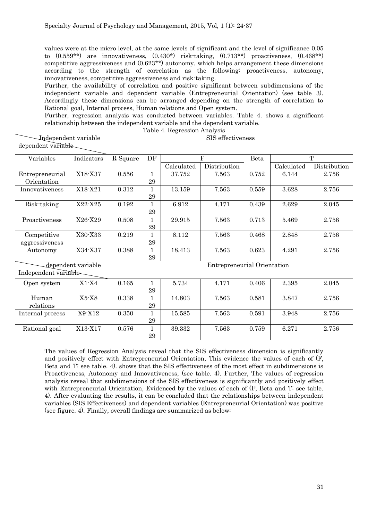values were at the micro level, at the same levels of significant and the level of significance 0.05 to  $(0.559**)$  are innovativeness,  $(0.430*)$  risk-taking,  $(0.713**)$  proactiveness,  $(0.468**)$ competitive aggressiveness and (0.623\*\*) autonomy. which helps arrangement these dimensions according to the strength of correlation as the following: proactiveness, autonomy, innovativeness, competitive aggressiveness and risk-taking.

Further, the availability of correlation and positive significant between subdimensions of the independent variable and dependent variable (Entrepreneurial Orientation) (see table 3). Accordingly these dimensions can be arranged depending on the strength of correlation to Rational goal, Internal process, Human relations and Open system.

Further, regression analysis was conducted between variables. Table 4. shows a significant relationship between the independent variable and the dependent variable.

|                                            |                    |                             |                    | Table 4. Regression Analysis |                   |       |            |              |
|--------------------------------------------|--------------------|-----------------------------|--------------------|------------------------------|-------------------|-------|------------|--------------|
| Independent variable<br>dependent variable |                    |                             |                    |                              | SIS effectiveness |       |            |              |
| Variables                                  | Indicators         | R Square                    | DF                 |                              | $\overline{F}$    | Beta  |            | T            |
|                                            |                    |                             |                    | Calculated                   | Distribution      |       | Calculated | Distribution |
| Entrepreneurial<br>Orientation             | X18-X37            | 0.556                       | $\mathbf 1$<br>29  | 37.752                       | 7.563             | 0.752 | 6.144      | 2.756        |
| Innovativeness                             | X18-X21            | 0.312                       | $\mathbf{1}$<br>29 | 13.159                       | 7.563             | 0.559 | 3.628      | 2.756        |
| Risk-taking                                | X22-X25            | 0.192                       | $\mathbf 1$<br>29  | 6.912                        | 4.171             | 0.439 | 2.629      | 2.045        |
| Proactiveness                              | X26-X29            | 0.508                       | $\mathbf 1$<br>29  | 29.915                       | 7.563             | 0.713 | 5.469      | 2.756        |
| Competitive<br>aggressiveness              | X30-X33            | 0.219                       | $\mathbf{1}$<br>29 | 8.112                        | 7.563             | 0.468 | 2.848      | 2.756        |
| Autonomy                                   | X34-X37            | 0.388                       | 1<br>$\bf 29$      | 18.413                       | 7.563             | 0.623 | 4.291      | 2.756        |
| Independent variable-                      | dependent variable | Entrepreneurial Orientation |                    |                              |                   |       |            |              |
| Open system                                | $X1 - X4$          | $0.165\,$                   | $\mathbf{1}$<br>29 | 5.734                        | 4.171             | 0.406 | 2.395      | 2.045        |
| Human<br>relations                         | $X5-X8$            | 0.338                       | 1<br>29            | 14.803                       | 7.563             | 0.581 | 3.847      | 2.756        |
| Internal process                           | X9-X12             | 0.350                       | $\mathbf 1$<br>29  | 15.585                       | 7.563             | 0.591 | 3.948      | 2.756        |
| Rational goal                              | X13-X17            | 0.576                       | $\mathbf 1$<br>29  | 39.332                       | 7.563             | 0.759 | 6.271      | 2.756        |

The values of Regression Analysis reveal that the SIS effectiveness dimension is significantly and positively effect with Entrepreneurial Orientation, This evidence the values of each of (F, Beta and T: see table. 4). shows that the SIS effectiveness of the most effect in subdimensions is Proactiveness, Autonomy and Innovativeness, (see table. 4). Further, The values of regression analysis reveal that subdimensions of the SIS effectiveness is significantly and positively effect with Entrepreneurial Orientation, Evidenced by the values of each of (F, Beta and T: see table. 4). After evaluating the results, it can be concluded that the relationships between independent variables (SIS Effectiveness) and dependent variables (Entrepreneurial Orientation) was positive (see figure. 4). Finally, overall findings are summarized as below: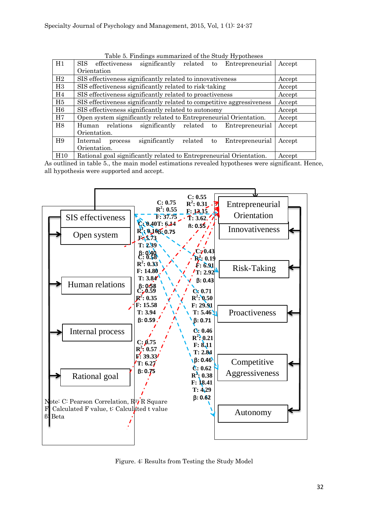| H1             | SIS.<br>significantly related to Entrepreneurial<br>effectiveness        | Accept |  |  |  |  |  |  |  |
|----------------|--------------------------------------------------------------------------|--------|--|--|--|--|--|--|--|
|                | Orientation                                                              |        |  |  |  |  |  |  |  |
| H2             | SIS effectiveness significantly related to innovativeness                | Accept |  |  |  |  |  |  |  |
| H3             | SIS effectiveness significantly related to risk-taking                   | Accept |  |  |  |  |  |  |  |
| H <sub>4</sub> | SIS effectiveness significantly related to proactiveness                 | Accept |  |  |  |  |  |  |  |
| H <sub>5</sub> | SIS effectiveness significantly related to competitive aggressiveness    | Accept |  |  |  |  |  |  |  |
| H <sub>6</sub> | SIS effectiveness significantly related to autonomy                      | Accept |  |  |  |  |  |  |  |
| H7             | Open system significantly related to Entrepreneurial Orientation.        | Accept |  |  |  |  |  |  |  |
| H <sub>8</sub> | relations significantly related to Entrepreneurial<br>Human              | Accept |  |  |  |  |  |  |  |
|                | Orientation.                                                             |        |  |  |  |  |  |  |  |
| H <sub>9</sub> | significantly<br>related<br>Entrepreneurial<br>Internal<br>to<br>process | Accept |  |  |  |  |  |  |  |
|                | Orientation.                                                             |        |  |  |  |  |  |  |  |
| H10            | Rational goal significantly related to Entrepreneurial Orientation.      | Accept |  |  |  |  |  |  |  |

Table 5. Findings summarized of the Study Hypotheses

As outlined in table 5., the main model estimations revealed hypotheses were significant. Hence, all hypothesis were supported and accept.



Figure. 4: Results from Testing the Study Model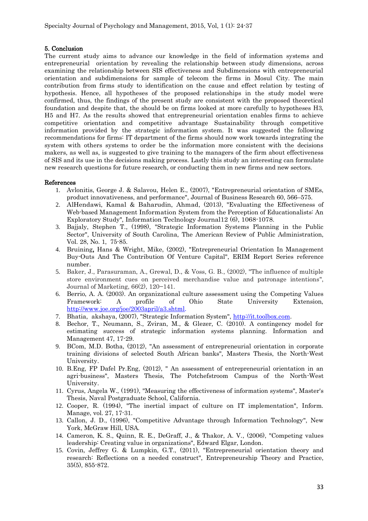## 5. Conclusion

The current study aims to advance our knowledge in the field of information systems and entrepreneurial orientation by revealing the relationship between study dimensions, across examining the relationship between SIS effectiveness and Subdimensions with entrepreneurial orientation and subdimensions for sample of telecom the firms in Mosul City. The main contribution from firms study to identification on the cause and effect relation by testing of hypothesis. Hence, all hypotheses of the proposed relationships in the study model were confirmed, thus, the findings of the present study are consistent with the proposed theoretical foundation and despite that, the should be on firms looked at more carefully to hypotheses H3, H5 and H7. As the results showed that entrepreneurial orientation enables firms to achieve competitive orientation and competitive advantage Sustainability through competitive information provided by the strategic information system. It was suggested the following recommendations for firms: IT department of the firms should now work towards integrating the system with others systems to order be the information more consistent with the decisions makers, as well as, is suggested to give training to the managers of the firm about effectiveness of SIS and its use in the decisions making process. Lastly this study an interesting can formulate new research questions for future research, or conducting them in new firms and new sectors.

## References

- 1. Avlonitis, George J. & Salavou, Helen E., (2007), "Entrepreneurial orientation of SMEs, product innovativeness, and performance", Journal of Business Research 60, 566–575.
- 2. AlHendawi, Kamal & Baharudin, Ahmad, (2013), "Evaluating the Effectiveness of Web-based Management Information System from the Perception of Educationalists: An Exploratory Study", Information Teclnology Journal12 (6), 1068-1078.
- 3. Bajjaly, Stephen T., (1998), "Strategic Information Systems Planning in the Public Sector", University of South Carolina, The American Review of Public Administration, Vol. 28, No. 1, 75-85.
- 4. Bruining, Hans & Wright, Mike, (2002), "Entrepreneurial Orientation In Management Buy-Outs And The Contribution Of Venture Capital", ERIM Report Series reference number.
- 5. Baker, J., Parasuraman, A., Grewal, D., & Voss, G. B., (2002), "The influence of multiple store environment cues on perceived merchandise value and patronage intentions", Journal of Marketing, 66(2), 120−141.
- 6. Berrio, A. A. (2003). An organizational culture assessment using the Competing Values Framework: A profile of Ohio State University Extension, [http://www.joe.org/joe/2003april/a3.shtml.](http://www.joe.org/joe/2003april/a3.shtml)
- 7. Bhatia, [akshaya,](http://it.toolbox.com/people/aksbh) (2007), "Strategic Information System", [http://it.toolbox.com.](http://it.toolbox.com/)
- 8. Bechor, T., Neumann, S., Zviran, M., & Glezer, C. (2010). A contingency model for estimating success of strategic information systems planning. Information and Management 47, 17-29.
- 9. BCom, M.D. Botha, (2012), "An assessment of entrepreneurial orientation in corporate training divisions of selected South African banks", Masters Thesis, the North-West University.
- 10. B.Eng, FP Dafel Pr.Eng, (2012), " An assessment of entrepreneurial orientation in an agri-business", Masters Thesis, The Potchefstroom Campus of the North-West University.
- 11. Cyrus, Angela W., (1991), "Measuring the effectiveness of information systems", Master's Thesis, Naval Postgraduate School, California.
- 12. Cooper, R. (1994), "The inertial impact of culture on IT implementation", Inform. Manage, vol. 27, 17-31.
- 13. Callon, J. D., (1996), "Competitive Advantage through Information Technology", New York, McGraw Hill, USA.
- 14. Cameron, K. S., Quinn, R. E., DeGraff, J., & Thakor, A. V., (2006), "Competing values leadership: Creating value in organizations", Edward Elgar, London.
- 15. Covin, Jeffrey G. & Lumpkin, G.T., (2011), "Entrepreneurial orientation theory and research: Reflections on a needed construct", Entrepreneurship Theory and Practice, 35(5), 855-872.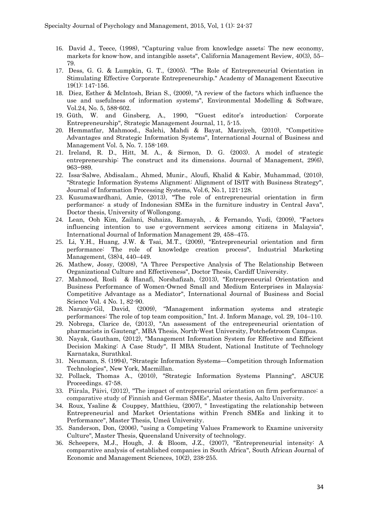- 16. David J., Teece, (1998), "Capturing value from knowledge assets: The new economy, markets for know-how, and intangible assets", California Management Review, 40(3), 55– 79.
- 17. Dess, G. G. & Lumpkin, G. T., (2005). "The Role of Entrepreneurial Orientation in Stimulating Effective Corporate Entrepreneurship." Academy of Management Executive 19(1): 147-156.
- 18. Diez, Esther & McIntosh, Brian S., (2009), "A review of the factors which influence the use and usefulness of information systems", Environmental Modelling & Software, Vol.24, No. 5, 588-602.
- 19. Güth, W. and Ginsberg, A., 1990, "'Guest editor's introduction: Corporate Entrepreneurship", Strategic Management Journal, 11, 5-15.
- 20. Hemmatfar, Mahmood., Salehi, Mahdi & Bayat, Marziyeh, (2010), "Competitive Advantages and Strategic Information Systems", International Journal of Business and Management Vol. 5, No. 7. 158-169.
- 21. Ireland, R. D., Hitt, M. A., & Sirmon, D. G. (2003). A model of strategic entrepreneurship: The construct and its dimensions. Journal of Management, 29(6), 963−989.
- 22. Issa-Salwe, Abdisalam., Ahmed, Munir., Aloufi, Khalid & Kabir, Muhammad, (2010), "Strategic Information Systems Alignment: Alignment of IS/IT with Business Strategy", Journal of Information Processing Systems, Vol.6, No.1, 121-128.
- 23. Kusumawardhani, Amie, (2013), "The role of entrepreneurial orientation in firm performance: a study of Indonesian SMEs in the furniture industry in Central Java", Doctor thesis, University of Wollongong.
- 24. Lean, Ooh Kim, Zailani, Suhaiza, Ramayah, . & Fernando, Yudi, (2009), "Factors influencing intention to use e-government services among citizens in Malaysia", International Journal of Information Management 29, 458–475.
- 25. Li, Y.H., Huang, J.W. & Tsai, M.T., (2009), "Entrepreneurial orientation and firm performance: The role of knowledge creation process", Industrial Marketing Management, [\(38\)4,](http://www.sciencedirect.com.tiger.sempertool.dk/science/journal/00198501/38/4) 440–449.
- 26. Mathew, Jossy, (2008), "A Three Perspective Analysis of The Relationship Between Organizational Culture and Effectiveness", Doctor Thesis, Cardiff University.
- 27. Mahmood, Rosli & Hanafi, Norshafizah, (2013), "Entrepreneurial Orientation and Business Performance of Women-Owned Small and Medium Enterprises in Malaysia: Competitive Advantage as a Mediator", International Journal of Business and Social Science Vol. 4 No. 1, 82-90.
- 28. Naranjo-Gil, David, (2009), "Management information systems and strategic performances: The role of top team composition," Int. J. Inform Manage, vol. 29, 104–110.
- 29. Nobrega, Clarice de, (2013), "An assessment of the entrepreneurial orientation of pharmacists in Gauteng", MBA Thesis, North-West University, Potchefstroom Campus.
- 30. Nayak, Gautham, (2012), "Management Information System for Effective and Efficient Decision Making: A Case Study", II MBA Student, National Institute of Technology Karnataka, Surathkal.
- 31. Neumann, S. (1994), "Strategic Information Systems—Competition through Information Technologies", New York, Macmillan.
- 32. Pollack, Thomas A., (2010), "Strategic Information Systems Planning", ASCUE Proceedings. 47-58.
- 33. Piirala, Päivi, (2012), "The impact of entrepreneurial orientation on firm performance: a comparative study of Finnish and German SMEs", Master thesis, Aalto University.
- 34. Roux, Ysaline & Couppey, Matthieu, (2007), " Investigating the relationship between Entrepreneurial and Market Orientations within French SMEs and linking it to Performance", Master Thesis, Umeå University.
- 35. Sanderson, Don, (2006), "using a Competing Values Framework to Examine university Culture", Master Thesis, Queensland University of technology.
- 36. Scheepers, M.J., Hough, J. & Bloom, J.Z., (2007), "Entrepreneurial intensity: A comparative analysis of established companies in South Africa", South African Journal of Economic and Management Sciences, 10(2), 238-255.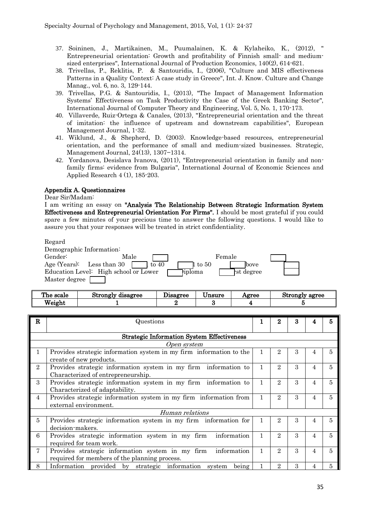- 37. [Soininen, J.,](http://libhub.sempertool.dk.tiger.sempertool.dk/libhub?func=search&query=au:%22Soininen,%20J.%22&language=en) [Martikainen, M.,](http://libhub.sempertool.dk.tiger.sempertool.dk/libhub?func=search&query=au:%22Martikainen,%20M.%22&language=en) [Puumalainen, K.](http://libhub.sempertool.dk.tiger.sempertool.dk/libhub?func=search&query=au:%22Puumalainen,%20K.%22&language=en) & [Kylaheiko, K.,](http://libhub.sempertool.dk.tiger.sempertool.dk/libhub?func=search&query=au:%22Kylaheiko,%20K.%22&language=en) (2012), " Entrepreneurial orientation: Growth and profitability of Finnish small- and mediumsized enterprises", International Journal of Production Economics, 140(2), 614-621.
- 38. Trivellas, P., Reklitis, P. & Santouridis, I., (2006), "Culture and MIS effectiveness Patterns in a Quality Context: A case study in Greece", Int. J. Know. Culture and Change Manag., vol. 6, no. 3, 129-144.
- 39. Trivellas, P.G. & Santouridis, I., (2013), "The Impact of Management Information Systems' Effectiveness on Task Productivity the Case of the Greek Banking Sector", International Journal of Computer Theory and Engineering, Vol. 5, No. 1, 170-173.
- 40. Villaverde, Ruiz-Ortega & Canales, (2013), "Entrepreneurial orientation and the threat of imitation: the influence of upstream and downstream capabilities", European Management Journal, 1-32.
- 41. Wiklund, J., & Shepherd, D. (2003). Knowledge-based resources, entrepreneurial orientation, and the performance of small and medium-sized businesses. Strategic, Management Journal, 24(13), 1307−1314.
- 42. Yordanova, Desislava Ivanova, (2011), "Entrepreneurial orientation in family and nonfamily firms: evidence from Bulgaria", International Journal of Economic Sciences and Applied Research 4 (1), 185-203.

## Appendix A. Questionnaires

#### Dear Sir/Madam:

I am writing an essay on "Analysis The Relationship Between Strategic Information System Effectiveness and Entrepreneurial Orientation For Firms". I should be most grateful if you could spare a few minutes of your precious time to answer the following questions. I would like to assure you that your responses will be treated in strict confidentiality.

#### Regard

| Demographic Information: |                                       |         |                    |              |  |
|--------------------------|---------------------------------------|---------|--------------------|--------------|--|
| Gender:                  | Male                                  |         |                    | Female       |  |
|                          | Age (Years): Less than $30$           | to $40$ | $1 \text{ to } 50$ | <b>lbove</b> |  |
|                          | Education Level: High school or Lower |         | iploma             | rst degree   |  |
| Master degree            |                                       |         |                    |              |  |

| The scale | Strongly<br>disagree | $\bm{\mathit{\cup}}$ isagree | $- -$<br>Unsure | Agree | Strongly agree |
|-----------|----------------------|------------------------------|-----------------|-------|----------------|
| Weight    |                      |                              |                 |       |                |

| R              | Questions                                                                                                        |   | 2              | 3 |   |    |
|----------------|------------------------------------------------------------------------------------------------------------------|---|----------------|---|---|----|
|                | <b>Strategic Information System Effectiveness</b>                                                                |   |                |   |   |    |
|                |                                                                                                                  |   |                |   |   |    |
|                | Open system                                                                                                      |   |                |   |   |    |
| 1              | Provides strategic information system in my firm information to the<br>create of new products.                   |   | 2              | 3 |   | 5  |
| $\overline{2}$ | Provides strategic information system in my firm information to<br>Characterized of entrepreneurship.            | 1 | $\overline{2}$ | 3 | 4 | 5  |
| 3              | Provides strategic information system in my firm information to<br>Characterized of adaptability.                | 1 | $\overline{2}$ | 3 | 4 | 5  |
| 4              | Provides strategic information system in my firm information from<br>external environment.                       |   | 2              | 3 |   | 5  |
|                | Human relations                                                                                                  |   |                |   |   |    |
| 5              | Provides strategic information system in my firm information for<br>decision-makers.                             |   | 2              | 3 |   | 5  |
| 6              | Provides strategic information system in my firm<br>information<br>required for team work.                       | 1 | $\overline{2}$ | 3 |   | 5  |
| 7              | information<br>Provides strategic information system in my firm<br>required for members of the planning process. | 1 | $\overline{2}$ | 3 | 4 | 5. |
| 8              | Information provided by strategic information<br>system<br>being                                                 |   | 2              | 3 |   | 5. |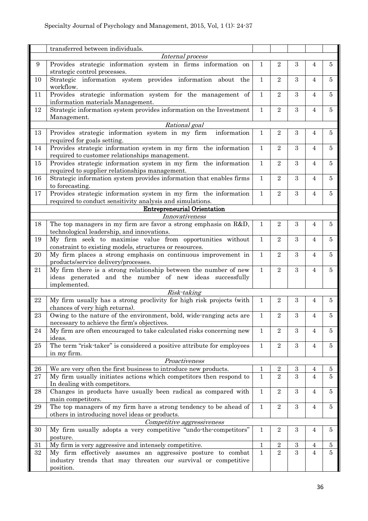|                  | transferred between individuals.                                                                                                             |              |                |                  |                |                |  |
|------------------|----------------------------------------------------------------------------------------------------------------------------------------------|--------------|----------------|------------------|----------------|----------------|--|
| Internal process |                                                                                                                                              |              |                |                  |                |                |  |
| $\boldsymbol{9}$ | Provides strategic information system in firms information on<br>strategic control processes.                                                | $\mathbf 1$  | $\overline{2}$ | 3                | 4              | $\overline{5}$ |  |
| 10               | Strategic information system provides information about the<br>workflow.                                                                     | $\mathbf{1}$ | $\overline{2}$ | 3                | $\overline{4}$ | $\overline{5}$ |  |
| 11               | Provides strategic information system for the management of<br>information materials Management.                                             | $\mathbf{1}$ | $\overline{2}$ | 3                | $\overline{4}$ | $\overline{5}$ |  |
| 12               | Strategic information system provides information on the Investment<br>Management.                                                           | 1            | $\sqrt{2}$     | 3                | $\overline{4}$ | 5              |  |
|                  | Rational goal                                                                                                                                |              |                |                  |                |                |  |
| 13               | Provides strategic information system in my firm<br>information<br>required for goals setting.                                               | $\mathbf{1}$ | $\overline{2}$ | 3                | $\overline{4}$ | $\overline{5}$ |  |
| 14               | Provides strategic information system in my firm the information<br>required to customer relationships management.                           | $\mathbf{1}$ | $\overline{2}$ | 3                | $\overline{4}$ | $\overline{5}$ |  |
| 15               | Provides strategic information system in my firm the information<br>required to supplier relationships management.                           | $\mathbf{1}$ | $\overline{2}$ | 3                | $\overline{4}$ | $\overline{5}$ |  |
| 16               | Strategic information system provides information that enables firms<br>to forecasting.                                                      | $\mathbf{1}$ | $\overline{2}$ | 3                | $\overline{4}$ | $\overline{5}$ |  |
| 17               | Provides strategic information system in my firm the information<br>required to conduct sensitivity analysis and simulations.                | $\mathbf{1}$ | $\overline{2}$ | $\overline{3}$   | $\overline{4}$ | $\overline{5}$ |  |
|                  | <b>Entrepreneurial Orientation</b>                                                                                                           |              |                |                  |                |                |  |
|                  | Innovativeness                                                                                                                               |              |                |                  |                |                |  |
| 18               | The top managers in my firm are favor a strong emphasis on R&D,<br>technological leadership, and innovations.                                | 1            | $\overline{2}$ | 3                | $\overline{4}$ | $\overline{5}$ |  |
| 19               | My firm seek to maximise value from opportunities without<br>constraint to existing models, structures or resources.                         | 1            | $\overline{2}$ | 3                | $\overline{4}$ | $\overline{5}$ |  |
| 20               | My firm places a strong emphasis on continuous improvement in<br>products/service delivery/processes.                                        | $\mathbf{1}$ | $\overline{2}$ | 3                | $\overline{4}$ | 5              |  |
| 21               | My firm there is a strong relationship between the number of new<br>ideas generated and the number of new ideas successfully<br>implemented. | $\mathbf{1}$ | $\overline{2}$ | 3                | $\overline{4}$ | $\overline{5}$ |  |
|                  | Risk-taking                                                                                                                                  |              |                |                  |                |                |  |
| 22               | My firm usually has a strong proclivity for high risk projects (with<br>chances of very high returns).                                       | $\mathbf{1}$ | $\overline{2}$ | 3                | $\overline{4}$ | $\overline{5}$ |  |
| 23               | Owing to the nature of the environment, bold, wide-ranging acts are<br>necessary to achieve the firm's objectives.                           | $\mathbf{1}$ | $\overline{2}$ | $\boldsymbol{3}$ | 4              | $\bf 5$        |  |
| 24               | My firm are often encouraged to take calculated risks concerning new<br>ideas.                                                               | $\mathbf{1}$ | $\overline{2}$ | 3                | $\overline{4}$ | $\overline{5}$ |  |
| 25               | The term "risk-taker" is considered a positive attribute for employees<br>in my firm.                                                        | $\mathbf{1}$ | $\overline{2}$ | $\boldsymbol{3}$ | $\overline{4}$ | $\bf 5$        |  |
|                  | Proactiveness                                                                                                                                |              |                |                  |                |                |  |
| 26               | We are very often the first business to introduce new products.                                                                              | 1            | 2              | 3                | 4              | 5              |  |
| 27               | My firm usually initiates actions which competitors then respond to<br>In dealing with competitors.                                          | $\mathbf{1}$ | $\overline{2}$ | 3                | $\overline{4}$ | 5              |  |
| ${\bf 28}$       | Changes in products have usually been radical as compared with<br>main competitors.                                                          | $\mathbf{1}$ | $\overline{2}$ | 3                | $\overline{4}$ | $\overline{5}$ |  |
| 29               | The top managers of my firm have a strong tendency to be ahead of<br>others in introducing novel ideas or products.                          | $\mathbf 1$  | $\overline{2}$ | $\boldsymbol{3}$ | $\overline{4}$ | 5              |  |
|                  | Competitive aggressiveness                                                                                                                   |              |                |                  |                |                |  |
| 30               | My firm usually adopts a very competitive "undo-the-competitors"<br>posture.                                                                 | $\mathbf{1}$ | $\overline{2}$ | 3                | 4              | $\bf 5$        |  |
| 31               | My firm is very aggressive and intensely competitive.                                                                                        | $\mathbf 1$  | $\sqrt{2}$     | 3                | 4              | $\bf 5$        |  |
| 32               | My firm effectively assumes an aggressive posture to combat<br>industry trends that may threaten our survival or competitive<br>position.    | $\mathbf{1}$ | $\overline{2}$ | 3                | $\overline{4}$ | $\overline{5}$ |  |
|                  |                                                                                                                                              |              |                |                  |                |                |  |